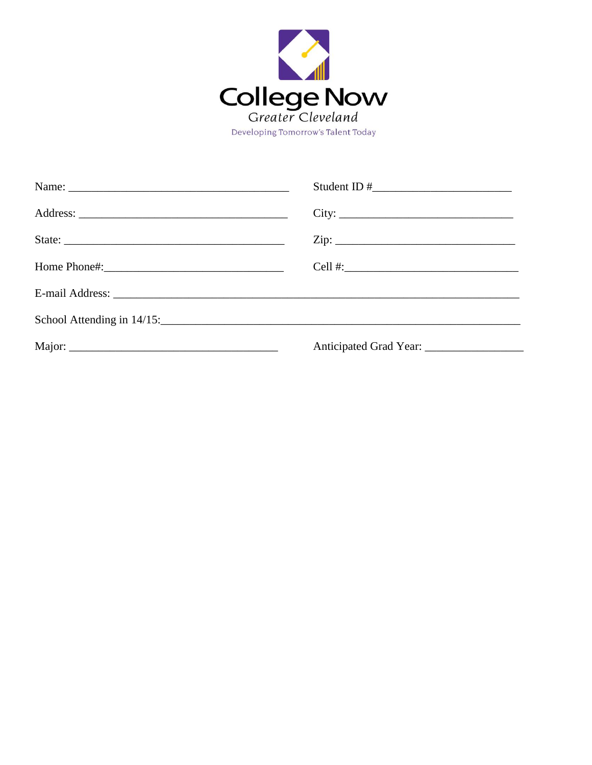

| City:                                          |
|------------------------------------------------|
| $\mathsf{Zip:}\n \overrightarrow{\phantom{I}}$ |
|                                                |
|                                                |
|                                                |
|                                                |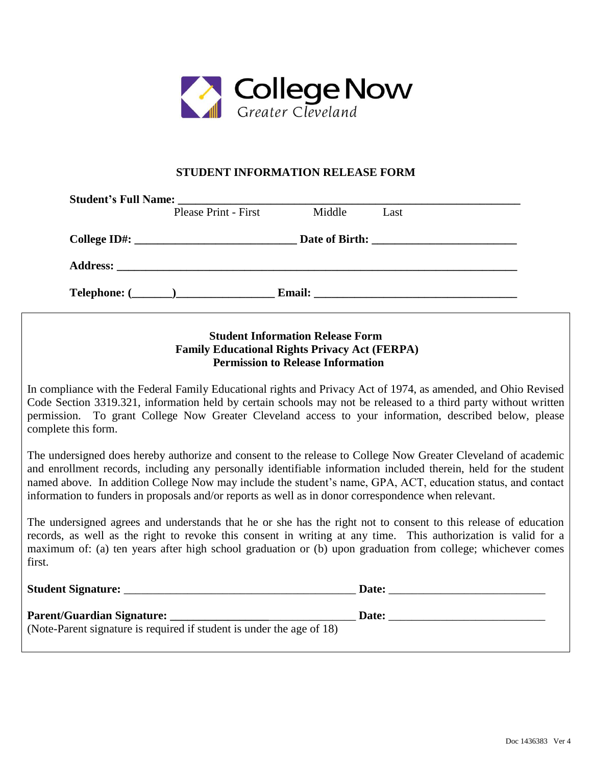

## **STUDENT INFORMATION RELEASE FORM**

| <b>Student's Full Name:</b>                |                      | <u> 1980 - Jan James James Barnett, fransk politik (d. 1980)</u> |                                                                                                                      |
|--------------------------------------------|----------------------|------------------------------------------------------------------|----------------------------------------------------------------------------------------------------------------------|
|                                            | Please Print - First | Middle                                                           | Last                                                                                                                 |
|                                            |                      |                                                                  |                                                                                                                      |
|                                            |                      |                                                                  |                                                                                                                      |
| $\textbf{Telephone:} (\_\_\_\_\_\_\_\_\_\$ |                      | <b>Email:</b>                                                    | <u> 2000 - 2000 - 2000 - 2000 - 2000 - 2000 - 2000 - 2000 - 2000 - 2000 - 2000 - 2000 - 2000 - 2000 - 2000 - 200</u> |

## **Student Information Release Form Family Educational Rights Privacy Act (FERPA) Permission to Release Information**

In compliance with the Federal Family Educational rights and Privacy Act of 1974, as amended, and Ohio Revised Code Section 3319.321, information held by certain schools may not be released to a third party without written permission. To grant College Now Greater Cleveland access to your information, described below, please complete this form.

The undersigned does hereby authorize and consent to the release to College Now Greater Cleveland of academic and enrollment records, including any personally identifiable information included therein, held for the student named above. In addition College Now may include the student's name, GPA, ACT, education status, and contact information to funders in proposals and/or reports as well as in donor correspondence when relevant.

The undersigned agrees and understands that he or she has the right not to consent to this release of education records, as well as the right to revoke this consent in writing at any time. This authorization is valid for a maximum of: (a) ten years after high school graduation or (b) upon graduation from college; whichever comes first.

| <b>Student Signature:</b>                                                                                  | Date: |
|------------------------------------------------------------------------------------------------------------|-------|
| <b>Parent/Guardian Signature:</b><br>(Note-Parent signature is required if student is under the age of 18) | Date: |